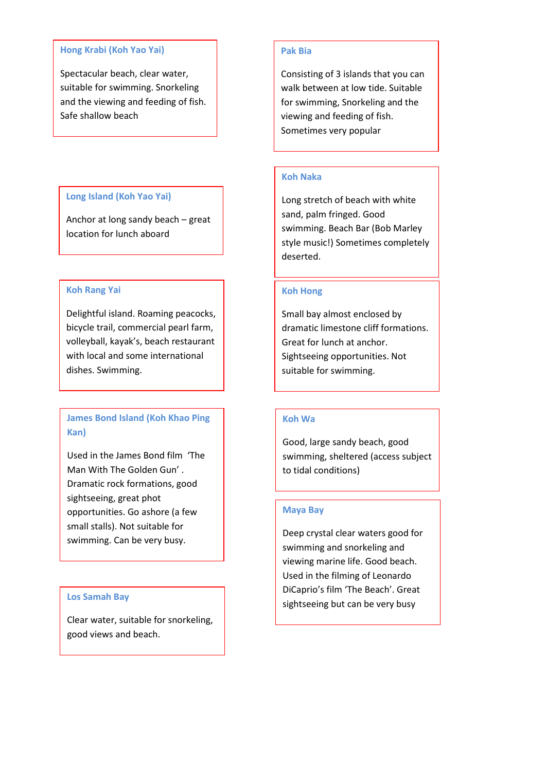#### **Hong Krabi (Koh Yao Yai)**

Spectacular beach, clear water, suitable for swimming. Snorkeling and the viewing and feeding of fish. Safe shallow beach

## **Long Island (Koh Yao Yai)**

Anchor at long sandy beach – great location for lunch aboard

#### **Koh Rang Yai**

Delightful island. Roaming peacocks, bicycle trail, commercial pearl farm, volleyball, kayak's, beach restaurant with local and some international dishes. Swimming.

# **James Bond Island (Koh Khao Ping Kan)**

Used in the James Bond film 'The Man With The Golden Gun' . Dramatic rock formations, good sightseeing, great phot opportunities. Go ashore (a few small stalls). Not suitable for swimming. Can be very busy.

### **Los Samah Bay**

 good views and beach. Clear water, suitable for snorkeling,

#### **Pak Bia**

Consisting of 3 islands that you can walk between at low tide. Suitable for swimming, Snorkeling and the viewing and feeding of fish. Sometimes very popular

#### **Koh Naka**

Long stretch of beach with white sand, palm fringed. Good swimming. Beach Bar (Bob Marley style music!) Sometimes completely deserted.

#### **Koh Hong**

Small bay almost enclosed by dramatic limestone cliff formations. Great for lunch at anchor. Sightseeing opportunities. Not suitable for swimming.

### **Koh Wa**

Good, large sandy beach, good swimming, sheltered (access subject to tidal conditions)

#### **Maya Bay**

Deep crystal clear waters good for swimming and snorkeling and viewing marine life. Good beach. Used in the filming of Leonardo DiCaprio's film 'The Beach'. Great sightseeing but can be very busy